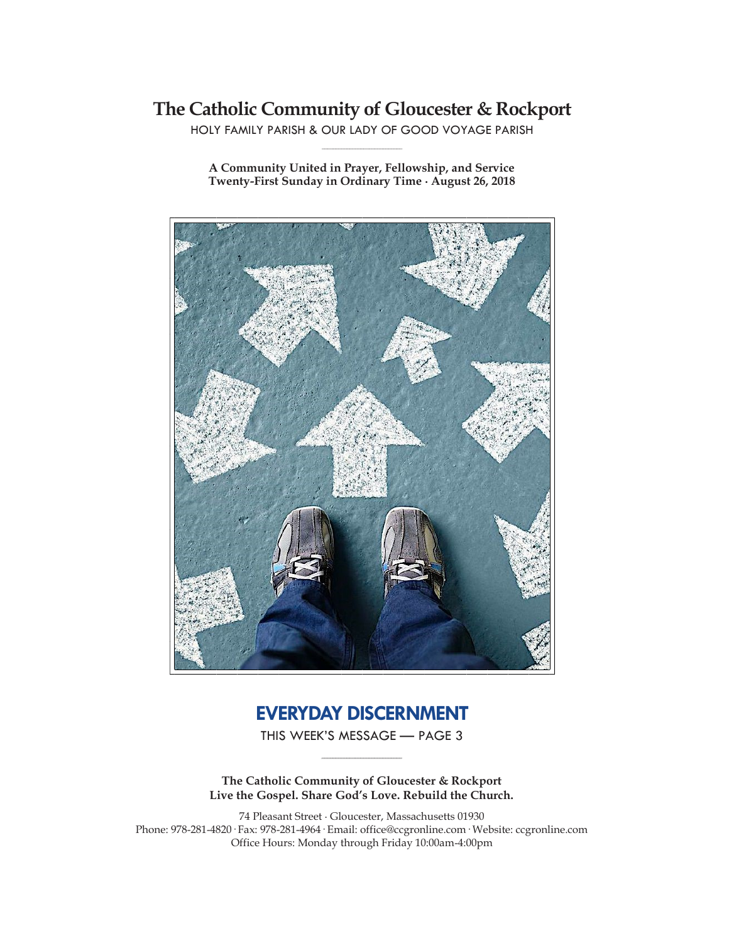# **The Catholic Community of Gloucester & Rockport**

HOLY FAMILY PARISH & OUR LADY OF GOOD VOYAGE PARISH **\_\_\_\_\_\_\_\_\_\_\_\_\_\_\_\_\_\_\_\_\_\_\_\_\_\_\_\_\_**

**A Community United in Prayer, Fellowship, and Service Twenty-First Sunday in Ordinary Time ∙ August 26, 2018**



# **EVERYDAY DISCERNMENT**

THIS WEEK'S MESSAGE — PAGE 3 **\_\_\_\_\_\_\_\_\_\_\_\_\_\_\_\_\_\_\_\_\_\_\_\_\_\_\_\_\_**

**The Catholic Community of Gloucester & Rockport Live the Gospel. Share God's Love. Rebuild the Church.**

74 Pleasant Street ∙ Gloucester, Massachusetts 01930 Phone: 978-281-4820· Fax: 978-281-4964· Email: office@ccgronline.com· Website: ccgronline.com Office Hours: Monday through Friday 10:00am-4:00pm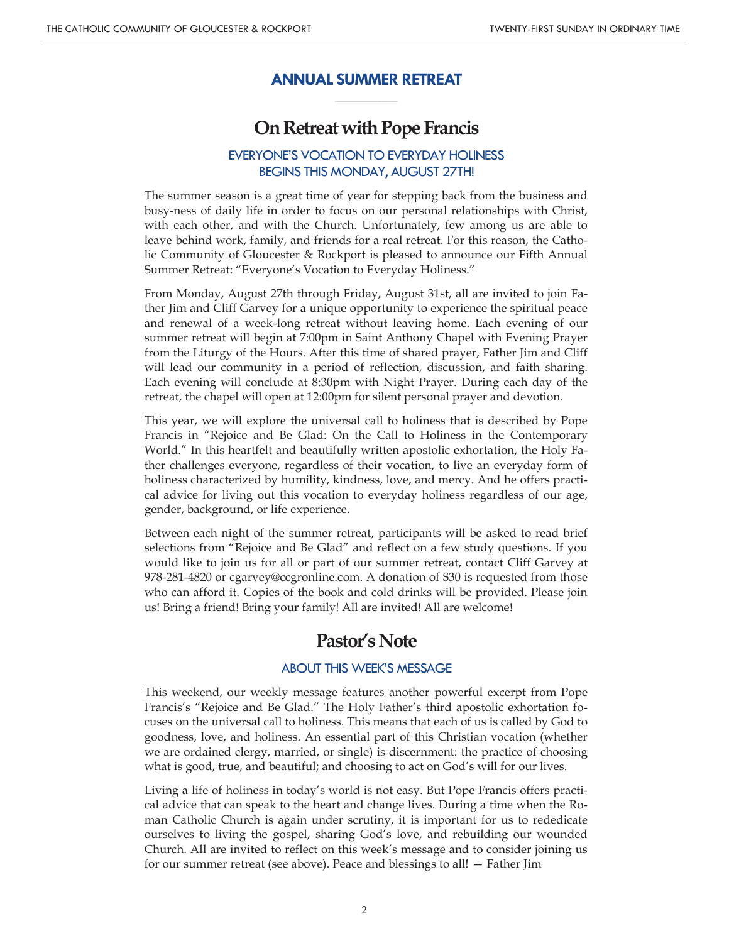# **ANNUAL SUMMER RETREAT \_\_\_\_\_\_\_\_\_\_\_\_\_\_\_\_\_\_\_\_\_**

# **On Retreat with Pope Francis**

# EVERYONE'S VOCATION TO EVERYDAY HOLINESS BEGINS THIS MONDAY, AUGUST 27TH!

The summer season is a great time of year for stepping back from the business and busy-ness of daily life in order to focus on our personal relationships with Christ, with each other, and with the Church. Unfortunately, few among us are able to leave behind work, family, and friends for a real retreat. For this reason, the Catholic Community of Gloucester & Rockport is pleased to announce our Fifth Annual Summer Retreat: "Everyone's Vocation to Everyday Holiness."

From Monday, August 27th through Friday, August 31st, all are invited to join Father Jim and Cliff Garvey for a unique opportunity to experience the spiritual peace and renewal of a week-long retreat without leaving home. Each evening of our summer retreat will begin at 7:00pm in Saint Anthony Chapel with Evening Prayer from the Liturgy of the Hours. After this time of shared prayer, Father Jim and Cliff will lead our community in a period of reflection, discussion, and faith sharing. Each evening will conclude at 8:30pm with Night Prayer. During each day of the retreat, the chapel will open at 12:00pm for silent personal prayer and devotion.

This year, we will explore the universal call to holiness that is described by Pope Francis in "Rejoice and Be Glad: On the Call to Holiness in the Contemporary World." In this heartfelt and beautifully written apostolic exhortation, the Holy Father challenges everyone, regardless of their vocation, to live an everyday form of holiness characterized by humility, kindness, love, and mercy. And he offers practical advice for living out this vocation to everyday holiness regardless of our age, gender, background, or life experience.

Between each night of the summer retreat, participants will be asked to read brief selections from "Rejoice and Be Glad" and reflect on a few study questions. If you would like to join us for all or part of our summer retreat, contact Cliff Garvey at 978-281-4820 or cgarvey@ccgronline.com. A donation of \$30 is requested from those who can afford it. Copies of the book and cold drinks will be provided. Please join us! Bring a friend! Bring your family! All are invited! All are welcome!

# **Pastor's Note**

## ABOUT THIS WEEK'S MESSAGE

This weekend, our weekly message features another powerful excerpt from Pope Francis's "Rejoice and Be Glad." The Holy Father's third apostolic exhortation focuses on the universal call to holiness. This means that each of us is called by God to goodness, love, and holiness. An essential part of this Christian vocation (whether we are ordained clergy, married, or single) is discernment: the practice of choosing what is good, true, and beautiful; and choosing to act on God's will for our lives.

Living a life of holiness in today's world is not easy. But Pope Francis offers practical advice that can speak to the heart and change lives. During a time when the Roman Catholic Church is again under scrutiny, it is important for us to rededicate ourselves to living the gospel, sharing God's love, and rebuilding our wounded Church. All are invited to reflect on this week's message and to consider joining us for our summer retreat (see above). Peace and blessings to all! — Father Jim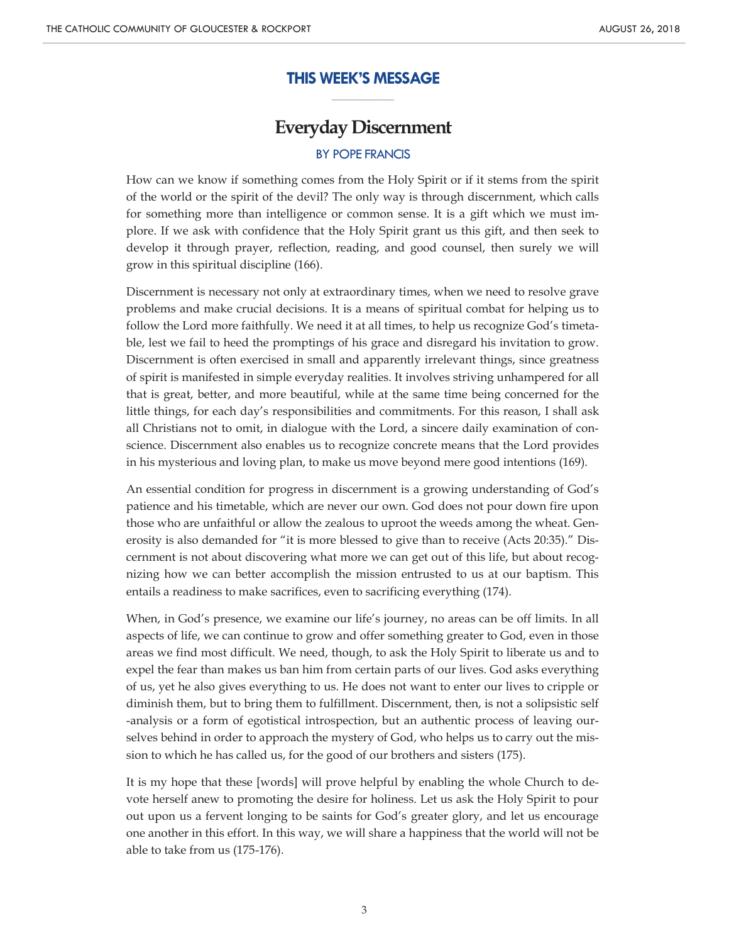## **THIS WEEK'S MESSAGE \_\_\_\_\_\_\_\_\_\_\_\_\_\_\_\_\_\_\_\_\_**

# **Everyday Discernment**

#### BY POPE FRANCIS

How can we know if something comes from the Holy Spirit or if it stems from the spirit of the world or the spirit of the devil? The only way is through discernment, which calls for something more than intelligence or common sense. It is a gift which we must implore. If we ask with confidence that the Holy Spirit grant us this gift, and then seek to develop it through prayer, reflection, reading, and good counsel, then surely we will grow in this spiritual discipline (166).

Discernment is necessary not only at extraordinary times, when we need to resolve grave problems and make crucial decisions. It is a means of spiritual combat for helping us to follow the Lord more faithfully. We need it at all times, to help us recognize God's timetable, lest we fail to heed the promptings of his grace and disregard his invitation to grow. Discernment is often exercised in small and apparently irrelevant things, since greatness of spirit is manifested in simple everyday realities. It involves striving unhampered for all that is great, better, and more beautiful, while at the same time being concerned for the little things, for each day's responsibilities and commitments. For this reason, I shall ask all Christians not to omit, in dialogue with the Lord, a sincere daily examination of conscience. Discernment also enables us to recognize concrete means that the Lord provides in his mysterious and loving plan, to make us move beyond mere good intentions (169).

An essential condition for progress in discernment is a growing understanding of God's patience and his timetable, which are never our own. God does not pour down fire upon those who are unfaithful or allow the zealous to uproot the weeds among the wheat. Generosity is also demanded for "it is more blessed to give than to receive (Acts 20:35)." Discernment is not about discovering what more we can get out of this life, but about recognizing how we can better accomplish the mission entrusted to us at our baptism. This entails a readiness to make sacrifices, even to sacrificing everything (174).

When, in God's presence, we examine our life's journey, no areas can be off limits. In all aspects of life, we can continue to grow and offer something greater to God, even in those areas we find most difficult. We need, though, to ask the Holy Spirit to liberate us and to expel the fear than makes us ban him from certain parts of our lives. God asks everything of us, yet he also gives everything to us. He does not want to enter our lives to cripple or diminish them, but to bring them to fulfillment. Discernment, then, is not a solipsistic self -analysis or a form of egotistical introspection, but an authentic process of leaving ourselves behind in order to approach the mystery of God, who helps us to carry out the mission to which he has called us, for the good of our brothers and sisters (175).

It is my hope that these [words] will prove helpful by enabling the whole Church to devote herself anew to promoting the desire for holiness. Let us ask the Holy Spirit to pour out upon us a fervent longing to be saints for God's greater glory, and let us encourage one another in this effort. In this way, we will share a happiness that the world will not be able to take from us (175-176).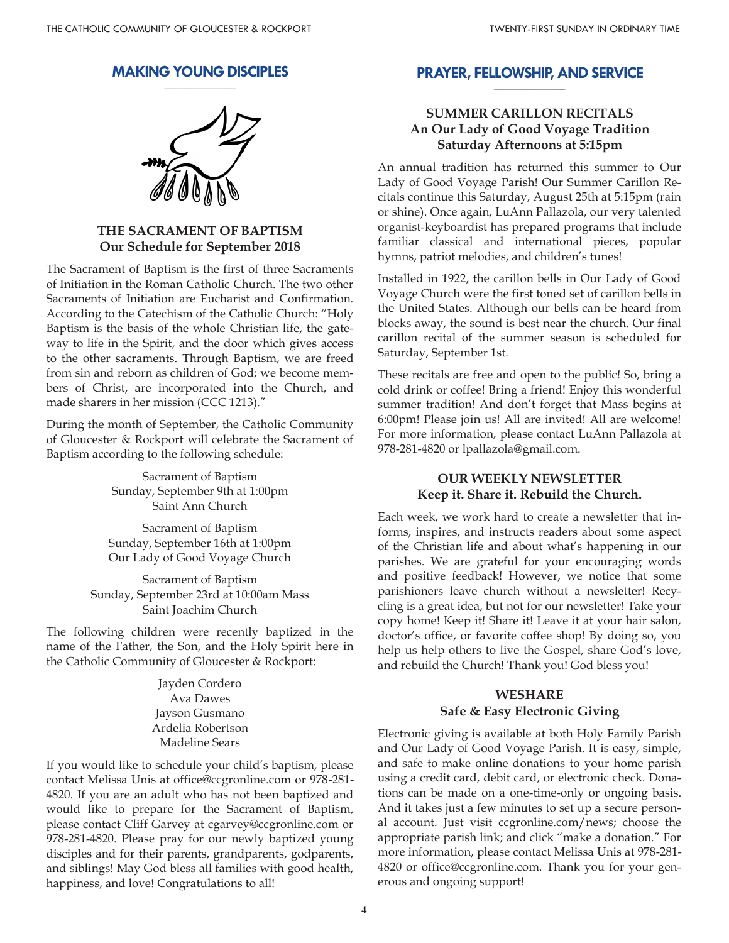#### **MAKING YOUNG DISCIPLES \_\_\_\_\_\_\_\_\_\_\_\_\_\_\_\_\_\_\_\_**



## **THE SACRAMENT OF BAPTISM Our Schedule for September 2018**

The Sacrament of Baptism is the first of three Sacraments of Initiation in the Roman Catholic Church. The two other Sacraments of Initiation are Eucharist and Confirmation. According to the Catechism of the Catholic Church: "Holy Baptism is the basis of the whole Christian life, the gateway to life in the Spirit, and the door which gives access to the other sacraments. Through Baptism, we are freed from sin and reborn as children of God; we become members of Christ, are incorporated into the Church, and made sharers in her mission (CCC 1213)."

During the month of September, the Catholic Community of Gloucester & Rockport will celebrate the Sacrament of Baptism according to the following schedule:

> Sacrament of Baptism Sunday, September 9th at 1:00pm Saint Ann Church

Sacrament of Baptism Sunday, September 16th at 1:00pm Our Lady of Good Voyage Church

Sacrament of Baptism Sunday, September 23rd at 10:00am Mass Saint Joachim Church

The following children were recently baptized in the name of the Father, the Son, and the Holy Spirit here in the Catholic Community of Gloucester & Rockport:

> Jayden Cordero Ava Dawes Jayson Gusmano Ardelia Robertson Madeline Sears

If you would like to schedule your child's baptism, please contact Melissa Unis at office@ccgronline.com or 978-281- 4820. If you are an adult who has not been baptized and would like to prepare for the Sacrament of Baptism, please contact Cliff Garvey at cgarvey@ccgronline.com or 978-281-4820. Please pray for our newly baptized young disciples and for their parents, grandparents, godparents, and siblings! May God bless all families with good health, happiness, and love! Congratulations to all!

#### **PRAYER, FELLOWSHIP, AND SERVICE \_\_\_\_\_\_\_\_\_\_\_\_\_\_\_\_\_\_\_\_**

# **SUMMER CARILLON RECITALS An Our Lady of Good Voyage Tradition Saturday Afternoons at 5:15pm**

An annual tradition has returned this summer to Our Lady of Good Voyage Parish! Our Summer Carillon Recitals continue this Saturday, August 25th at 5:15pm (rain or shine). Once again, LuAnn Pallazola, our very talented organist-keyboardist has prepared programs that include familiar classical and international pieces, popular hymns, patriot melodies, and children's tunes!

Installed in 1922, the carillon bells in Our Lady of Good Voyage Church were the first toned set of carillon bells in the United States. Although our bells can be heard from blocks away, the sound is best near the church. Our final carillon recital of the summer season is scheduled for Saturday, September 1st.

These recitals are free and open to the public! So, bring a cold drink or coffee! Bring a friend! Enjoy this wonderful summer tradition! And don't forget that Mass begins at 6:00pm! Please join us! All are invited! All are welcome! For more information, please contact LuAnn Pallazola at 978-281-4820 or lpallazola@gmail.com.

## **OUR WEEKLY NEWSLETTER Keep it. Share it. Rebuild the Church.**

Each week, we work hard to create a newsletter that informs, inspires, and instructs readers about some aspect of the Christian life and about what's happening in our parishes. We are grateful for your encouraging words and positive feedback! However, we notice that some parishioners leave church without a newsletter! Recycling is a great idea, but not for our newsletter! Take your copy home! Keep it! Share it! Leave it at your hair salon, doctor's office, or favorite coffee shop! By doing so, you help us help others to live the Gospel, share God's love, and rebuild the Church! Thank you! God bless you!

# **WESHARE Safe & Easy Electronic Giving**

Electronic giving is available at both Holy Family Parish and Our Lady of Good Voyage Parish. It is easy, simple, and safe to make online donations to your home parish using a credit card, debit card, or electronic check. Donations can be made on a one-time-only or ongoing basis. And it takes just a few minutes to set up a secure personal account. Just visit ccgronline.com/news; choose the appropriate parish link; and click "make a donation." For more information, please contact Melissa Unis at 978-281- 4820 or office@ccgronline.com. Thank you for your generous and ongoing support!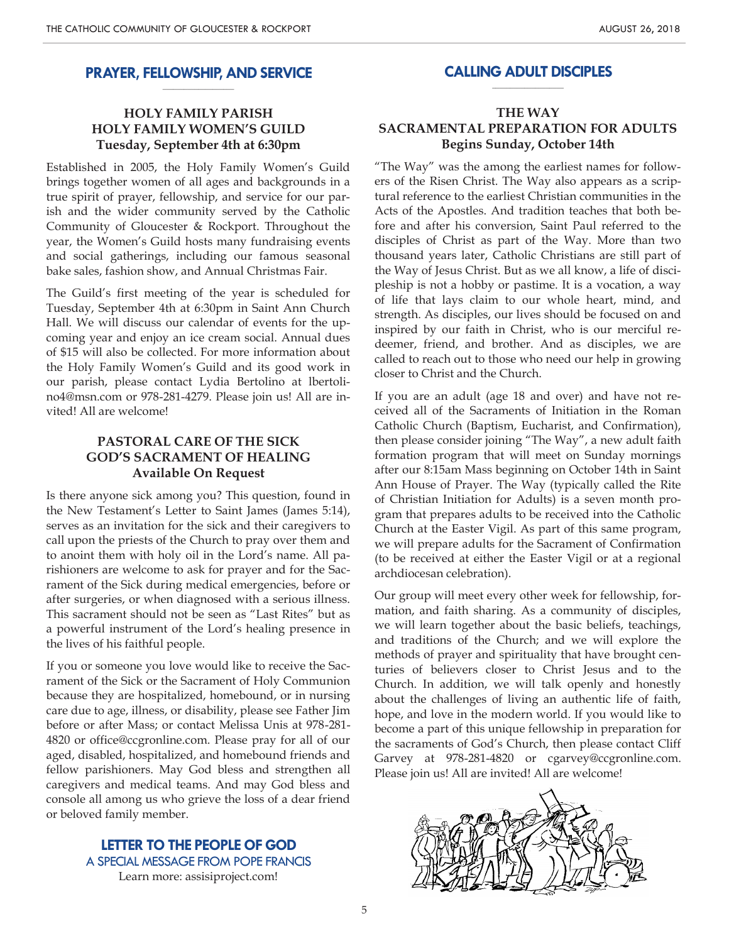#### **PRAYER, FELLOWSHIP, AND SERVICE \_\_\_\_\_\_\_\_\_\_\_\_\_\_\_\_\_\_\_\_**

# **HOLY FAMILY PARISH HOLY FAMILY WOMEN'S GUILD Tuesday, September 4th at 6:30pm**

Established in 2005, the Holy Family Women's Guild brings together women of all ages and backgrounds in a true spirit of prayer, fellowship, and service for our parish and the wider community served by the Catholic Community of Gloucester & Rockport. Throughout the year, the Women's Guild hosts many fundraising events and social gatherings, including our famous seasonal bake sales, fashion show, and Annual Christmas Fair.

The Guild's first meeting of the year is scheduled for Tuesday, September 4th at 6:30pm in Saint Ann Church Hall. We will discuss our calendar of events for the upcoming year and enjoy an ice cream social. Annual dues of \$15 will also be collected. For more information about the Holy Family Women's Guild and its good work in our parish, please contact Lydia Bertolino at lbertolino4@msn.com or 978-281-4279. Please join us! All are invited! All are welcome!

# **PASTORAL CARE OF THE SICK GOD'S SACRAMENT OF HEALING Available On Request**

Is there anyone sick among you? This question, found in the New Testament's Letter to Saint James (James 5:14), serves as an invitation for the sick and their caregivers to call upon the priests of the Church to pray over them and to anoint them with holy oil in the Lord's name. All parishioners are welcome to ask for prayer and for the Sacrament of the Sick during medical emergencies, before or after surgeries, or when diagnosed with a serious illness. This sacrament should not be seen as "Last Rites" but as a powerful instrument of the Lord's healing presence in the lives of his faithful people.

If you or someone you love would like to receive the Sacrament of the Sick or the Sacrament of Holy Communion because they are hospitalized, homebound, or in nursing care due to age, illness, or disability, please see Father Jim before or after Mass; or contact Melissa Unis at 978-281- 4820 or office@ccgronline.com. Please pray for all of our aged, disabled, hospitalized, and homebound friends and fellow parishioners. May God bless and strengthen all caregivers and medical teams. And may God bless and console all among us who grieve the loss of a dear friend or beloved family member.

> **LETTER TO THE PEOPLE OF GOD** A SPECIAL MESSAGE FROM POPE FRANCIS Learn more: assisiproject.com!

#### **CALLING ADULT DISCIPLES \_\_\_\_\_\_\_\_\_\_\_\_\_\_\_\_\_\_\_\_**

## **THE WAY SACRAMENTAL PREPARATION FOR ADULTS Begins Sunday, October 14th**

"The Way" was the among the earliest names for followers of the Risen Christ. The Way also appears as a scriptural reference to the earliest Christian communities in the Acts of the Apostles. And tradition teaches that both before and after his conversion, Saint Paul referred to the disciples of Christ as part of the Way. More than two thousand years later, Catholic Christians are still part of the Way of Jesus Christ. But as we all know, a life of discipleship is not a hobby or pastime. It is a vocation, a way of life that lays claim to our whole heart, mind, and strength. As disciples, our lives should be focused on and inspired by our faith in Christ, who is our merciful redeemer, friend, and brother. And as disciples, we are called to reach out to those who need our help in growing closer to Christ and the Church.

If you are an adult (age 18 and over) and have not received all of the Sacraments of Initiation in the Roman Catholic Church (Baptism, Eucharist, and Confirmation), then please consider joining "The Way", a new adult faith formation program that will meet on Sunday mornings after our 8:15am Mass beginning on October 14th in Saint Ann House of Prayer. The Way (typically called the Rite of Christian Initiation for Adults) is a seven month program that prepares adults to be received into the Catholic Church at the Easter Vigil. As part of this same program, we will prepare adults for the Sacrament of Confirmation (to be received at either the Easter Vigil or at a regional archdiocesan celebration).

Our group will meet every other week for fellowship, formation, and faith sharing. As a community of disciples, we will learn together about the basic beliefs, teachings, and traditions of the Church; and we will explore the methods of prayer and spirituality that have brought centuries of believers closer to Christ Jesus and to the Church. In addition, we will talk openly and honestly about the challenges of living an authentic life of faith, hope, and love in the modern world. If you would like to become a part of this unique fellowship in preparation for the sacraments of God's Church, then please contact Cliff Garvey at 978-281-4820 or cgarvey@ccgronline.com. Please join us! All are invited! All are welcome!